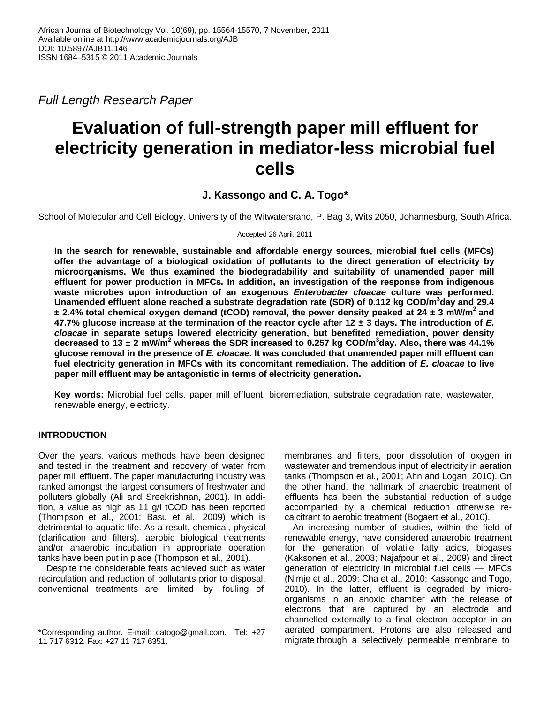*Full Length Research Paper*

# **Evaluation of full-strength paper mill effluent for electricity generation in mediator-less microbial fuel cells**

## **J. Kassongo and C. A. Togo\***

School of Molecular and Cell Biology. University of the Witwatersrand, P. Bag 3, Wits 2050, Johannesburg, South Africa.

Accepted 26 April, 2011

**In the search for renewable, sustainable and affordable energy sources, microbial fuel cells (MFCs) offer the advantage of a biological oxidation of pollutants to the direct generation of electricity by microorganisms. We thus examined the biodegradability and suitability of unamended paper mill effluent for power production in MFCs. In addition, an investigation of the response from indigenous waste microbes upon introduction of an exogenous** *Enterobacter cloacae* **culture was performed. Unamended effluent alone reached a substrate degradation rate (SDR) of 0.112 kg COD/m<sup>3</sup> day and 29.4 ± 2.4% total chemical oxygen demand (tCOD) removal, the power density peaked at 24 ± 3 mW/m<sup>2</sup> and 47.7% glucose increase at the termination of the reactor cycle after 12 ± 3 days. The introduction of** *E. cloacae* **in separate setups lowered electricity generation, but benefited remediation, power density decreased to 13 ± 2 mW/m<sup>2</sup> whereas the SDR increased to 0.257 kg COD/m<sup>3</sup> day. Also, there was 44.1% glucose removal in the presence of** *E. cloacae***. It was concluded that unamended paper mill effluent can fuel electricity generation in MFCs with its concomitant remediation. The addition of** *E. cloacae* **to live paper mill effluent may be antagonistic in terms of electricity generation.**

**Key words:** Microbial fuel cells, paper mill effluent, bioremediation, substrate degradation rate, wastewater, renewable energy, electricity.

## **INTRODUCTION**

Over the years, various methods have been designed and tested in the treatment and recovery of water from paper mill effluent. The paper manufacturing industry was ranked amongst the largest consumers of freshwater and polluters globally (Ali and Sreekrishnan, 2001). In addition, a value as high as 11 g/l tCOD has been reported (Thompson et al., 2001; Basu et al., 2009) which is detrimental to aquatic life. As a result, chemical, physical (clarification and filters), aerobic biological treatments and/or anaerobic incubation in appropriate operation tanks have been put in place (Thompson et al., 2001).

Despite the considerable feats achieved such as water recirculation and reduction of pollutants prior to disposal, conventional treatments are limited by fouling of

membranes and filters, poor dissolution of oxygen in wastewater and tremendous input of electricity in aeration tanks (Thompson et al., 2001; Ahn and Logan, 2010). On the other hand, the hallmark of anaerobic treatment of effluents has been the substantial reduction of sludge accompanied by a chemical reduction otherwise recalcitrant to aerobic treatment (Bogaert et al., 2010).

An increasing number of studies, within the field of renewable energy, have considered anaerobic treatment for the generation of volatile fatty acids, biogases (Kaksonen et al., 2003; Najafpour et al., 2009) and direct generation of electricity in microbial fuel cells — MFCs (Nimje et al., 2009; Cha et al., 2010; Kassongo and Togo, 2010). In the latter, effluent is degraded by microorganisms in an anoxic chamber with the release of electrons that are captured by an electrode and channelled externally to a final electron acceptor in an aerated compartment. Protons are also released and migrate through a selectively permeable membrane to

<sup>\*</sup>Corresponding author. E-mail: catogo@gmail.com. Tel: +27 11 717 6312. Fax: +27 11 717 6351.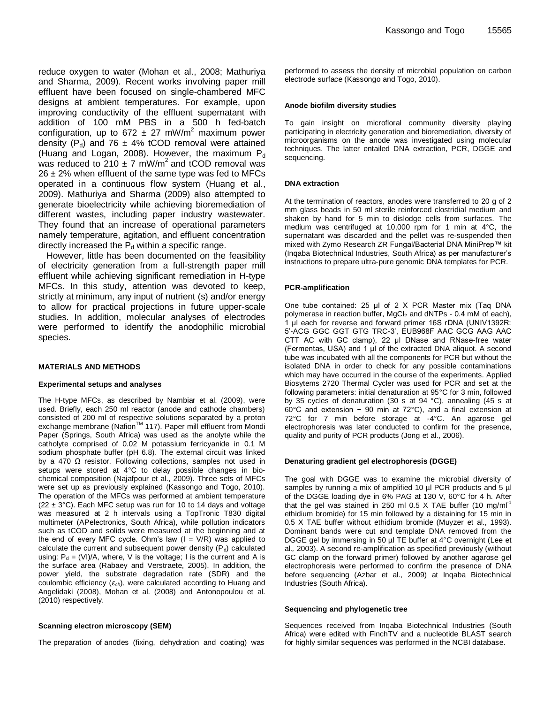reduce oxygen to water (Mohan et al., 2008; Mathuriya and Sharma, 2009). Recent works involving paper mill effluent have been focused on single-chambered MFC designs at ambient temperatures. For example, upon improving conductivity of the effluent supernatant with addition of 100 mM PBS in a 500 h fed-batch configuration, up to 672  $\pm$  27 mW/m<sup>2</sup> maximum power density ( $P_d$ ) and 76  $\pm$  4% tCOD removal were attained (Huang and Logan, 2008). However, the maximum  $P_d$ was reduced to  $210 \pm 7$  mW/m<sup>2</sup> and tCOD removal was  $26 \pm 2\%$  when effluent of the same type was fed to MFCs operated in a continuous flow system (Huang et al., 2009). Mathuriya and Sharma (2009) also attempted to generate bioelectricity while achieving bioremediation of different wastes, including paper industry wastewater. They found that an increase of operational parameters namely temperature, agitation, and effluent concentration directly increased the  $P_d$  within a specific range.

However, little has been documented on the feasibility of electricity generation from a full-strength paper mill effluent while achieving significant remediation in H-type MFCs. In this study, attention was devoted to keep, strictly at minimum, any input of nutrient (s) and/or energy to allow for practical projections in future upper-scale studies. In addition, molecular analyses of electrodes were performed to identify the anodophilic microbial species.

#### **MATERIALS AND METHODS**

#### **Experimental setups and analyses**

The H-type MFCs, as described by Nambiar et al. (2009), were used. Briefly, each 250 ml reactor (anode and cathode chambers) consisted of 200 ml of respective solutions separated by a proton exchange membrane (Nafion<sup>™</sup> 117). Paper mill effluent from Mondi Paper (Springs, South Africa) was used as the anolyte while the catholyte comprised of 0.02 M potassium ferricyanide in 0.1 M sodium phosphate buffer (pH 6.8). The external circuit was linked by a 470  $\Omega$  resistor. Following collections, samples not used in setups were stored at 4°C to delay possible changes in biochemical composition (Najafpour et al., 2009). Three sets of MFCs were set up as previously explained (Kassongo and Togo, 2010). The operation of the MFCs was performed at ambient temperature  $(22 \pm 3^{\circ}C)$ . Each MFC setup was run for 10 to 14 days and voltage was measured at 2 h intervals using a TopTronic T830 digital multimeter (APelectronics, South Africa), while pollution indicators such as tCOD and solids were measured at the beginning and at the end of every MFC cycle. Ohm's law  $(I = V/R)$  was applied to calculate the current and subsequent power density  $(P_d)$  calculated using:  $P_d = (VI)/A$ , where, V is the voltage; I is the current and A is the surface area (Rabaey and Verstraete, 2005). In addition, the power yield, the substrate degradation rate (SDR) and the coulombic efficiency (*εcb*), were calculated according to Huang and Angelidaki (2008), Mohan et al. (2008) and Antonopoulou et al. (2010) respectively.

#### **Scanning electron microscopy (SEM)**

The preparation of anodes (fixing, dehydration and coating) was

performed to assess the density of microbial population on carbon electrode surface (Kassongo and Togo, 2010).

#### **Anode biofilm diversity studies**

To gain insight on microfloral community diversity playing participating in electricity generation and bioremediation, diversity of microorganisms on the anode was investigated using molecular techniques. The latter entailed DNA extraction, PCR, DGGE and sequencing.

#### **DNA extraction**

At the termination of reactors, anodes were transferred to 20 g of 2 mm glass beads in 50 ml sterile reinforced clostridial medium and shaken by hand for 5 min to dislodge cells from surfaces. The medium was centrifuged at 10,000 rpm for 1 min at 4°C, the supernatant was discarded and the pellet was re-suspended then mixed with Zymo Research ZR Fungal/Bacterial DNA MiniPrep™ kit (Inqaba Biotechnical Industries, South Africa) as per manufacturer's instructions to prepare ultra-pure genomic DNA templates for PCR.

#### **PCR-amplification**

One tube contained: 25 μl of 2 X PCR Master mix (Taq DNA polymerase in reaction buffer,  $MgCl<sub>2</sub>$  and dNTPs - 0.4 mM of each), 1 μl each for reverse and forward primer 16S rDNA (UNIV1392R: 5'-ACG GGC GGT GTG TRC-3', EUB968F AAC GCG AAG AAC CTT AC with GC clamp), 22 μl DNase and RNase-free water (Fermentas, USA) and 1 μl of the extracted DNA aliquot. A second tube was incubated with all the components for PCR but without the isolated DNA in order to check for any possible contaminations which may have occurred in the course of the experiments. Applied Biosytems 2720 Thermal Cycler was used for PCR and set at the following parameters: initial denaturation at 95°C for 3 min, followed by 35 cycles of denaturation (30 s at 94 °C), annealing (45 s at 60°C and extension − 90 min at 72°C), and a final extension at 72°C for 7 min before storage at -4°C. An agarose gel electrophoresis was later conducted to confirm for the presence, quality and purity of PCR products (Jong et al., 2006).

#### **Denaturing gradient gel electrophoresis (DGGE)**

The goal with DGGE was to examine the microbial diversity of samples by running a mix of amplified 10 µl PCR products and 5 µl of the DGGE loading dye in 6% PAG at 130 V, 60°C for 4 h. After that the gel was stained in 250 ml 0.5 X TAE buffer (10 mg/ml<sup>-1</sup> ethidium bromide) for 15 min followed by a distaining for 15 min in 0.5 X TAE buffer without ethidium bromide (Muyzer et al., 1993). Dominant bands were cut and template DNA removed from the DGGE gel by immersing in 50 µl TE buffer at 4°C overnight (Lee et al.*,* 2003). A second re-amplification as specified previously (without GC clamp on the forward primer) followed by another agarose gel electrophoresis were performed to confirm the presence of DNA before sequencing (Azbar et al., 2009) at Inqaba Biotechnical Industries (South Africa).

#### **Sequencing and phylogenetic tree**

Sequences received from Inqaba Biotechnical Industries (South Africa) were edited with FinchTV and a nucleotide BLAST search for highly similar sequences was performed in the NCBI database.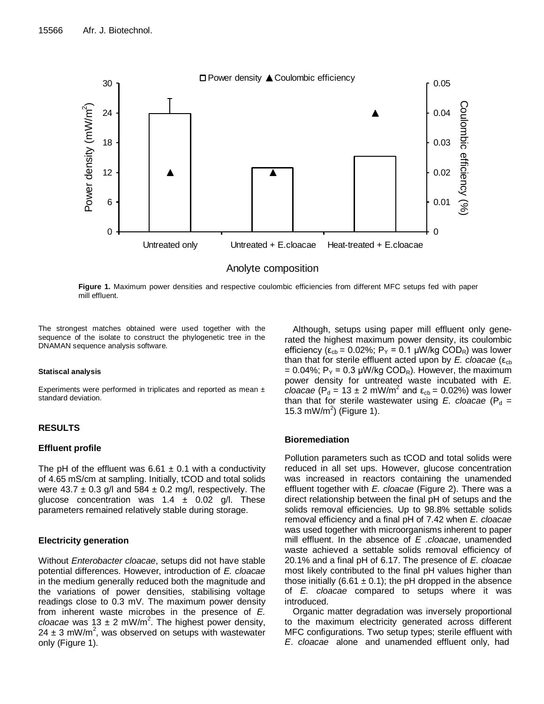

**Figure 1.** Maximum power densities and respective coulombic efficiencies from different MFC setups fed with paper mill effluent.

The strongest matches obtained were used together with the sequence of the isolate to construct the phylogenetic tree in the DNAMAN sequence analysis software.

#### **Statiscal analysis**

Experiments were performed in triplicates and reported as mean ± standard deviation.

## **RESULTS**

## **Effluent profile**

The pH of the effluent was  $6.61 \pm 0.1$  with a conductivity of 4.65 mS/cm at sampling. Initially, tCOD and total solids were  $43.7 \pm 0.3$  g/l and  $584 \pm 0.2$  mg/l, respectively. The glucose concentration was  $1.4 \pm 0.02$  g/l. These parameters remained relatively stable during storage.

## **Electricity generation**

Without *Enterobacter cloacae*, setups did not have stable potential differences. However, introduction of *E. cloacae* in the medium generally reduced both the magnitude and the variations of power densities, stabilising voltage readings close to 0.3 mV. The maximum power density from inherent waste microbes in the presence of *E. cloacae* was 13  $\pm$  2 mW/m<sup>2</sup>. The highest power density, 24  $\pm$  3 mW/m<sup>2</sup>, was observed on setups with wastewater only (Figure 1).

Although, setups using paper mill effluent only generated the highest maximum power density, its coulombic efficiency ( $\epsilon_{cb}$  = 0.02%; P<sub>Y</sub> = 0.1 µW/kg COD<sub>R</sub>) was lower than that for sterile effluent acted upon by  $E$ . *cloacae* ( $\varepsilon_{cb}$ ) = 0.04%;  $P_Y$  = 0.3 µW/kg COD<sub>R</sub>). However, the maximum power density for untreated waste incubated with *E. cloacae* ( $P_d = 13 \pm 2$  mW/m<sup>2</sup> and  $\epsilon_{cb} = 0.02\%$ ) was lower than that for sterile wastewater using  $E$ . *cloacae* ( $P_d$  = 15.3 mW/m<sup>2</sup>) (Figure 1).

## **Bioremediation**

Pollution parameters such as tCOD and total solids were reduced in all set ups. However, glucose concentration was increased in reactors containing the unamended effluent together with *E. cloacae* (Figure 2). There was a direct relationship between the final pH of setups and the solids removal efficiencies. Up to 98.8% settable solids removal efficiency and a final pH of 7.42 when *E. cloacae* was used together with microorganisms inherent to paper mill effluent. In the absence of *E .cloacae*, unamended waste achieved a settable solids removal efficiency of 20.1% and a final pH of 6.17. The presence of *E. cloacae* most likely contributed to the final pH values higher than those initially (6.61  $\pm$  0.1); the pH dropped in the absence of *E. cloacae* compared to setups where it was introduced.

Organic matter degradation was inversely proportional to the maximum electricity generated across different MFC configurations. Two setup types; sterile effluent with *E*. *cloacae* alone and unamended effluent only, had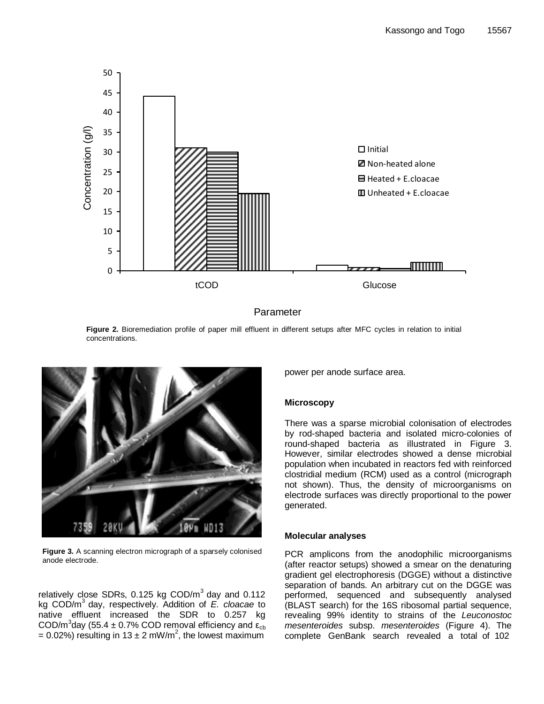

## Parameter

**Figure 2.** Bioremediation profile of paper mill effluent in different setups after MFC cycles in relation to initial concentrations.



**Figure 3.** A scanning electron micrograph of a sparsely colonised anode electrode.

relatively close SDRs, 0.125 kg  $\text{COD/m}^3$  day and 0.112 kg COD/m<sup>3</sup> day, respectively. Addition of *E. cloacae* to native effluent increased the SDR to 0.257 kg COD/m<sup>3</sup>day (55.4 ± 0.7% COD removal efficiency and  $\epsilon_{cb}$ = 0.02%) resulting in 13  $\pm$  2 mW/m<sup>2</sup>, the lowest maximum

power per anode surface area.

## **Microscopy**

There was a sparse microbial colonisation of electrodes by rod-shaped bacteria and isolated micro-colonies of round-shaped bacteria as illustrated in Figure 3. However, similar electrodes showed a dense microbial population when incubated in reactors fed with reinforced clostridial medium (RCM) used as a control (micrograph not shown). Thus, the density of microorganisms on electrode surfaces was directly proportional to the power generated.

## **Molecular analyses**

PCR amplicons from the anodophilic microorganisms (after reactor setups) showed a smear on the denaturing gradient gel electrophoresis (DGGE) without a distinctive separation of bands. An arbitrary cut on the DGGE was performed, sequenced and subsequently analysed (BLAST search) for the 16S ribosomal partial sequence, revealing 99% identity to strains of the *Leuconostoc mesenteroides* subsp. *mesenteroides* (Figure 4). The complete GenBank search revealed a total of 102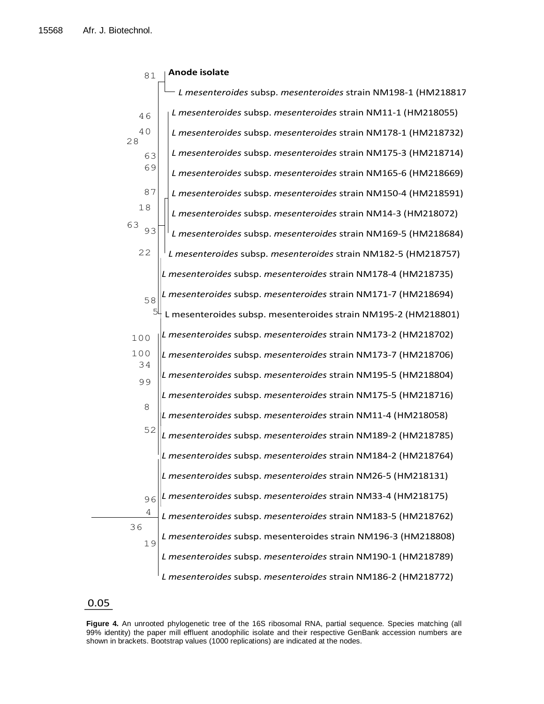| 81        | Anode isolate                                                  |
|-----------|----------------------------------------------------------------|
|           | L mesenteroides subsp. mesenteroides strain NM198-1 (HM218817  |
| 46        | L mesenteroides subsp. mesenteroides strain NM11-1 (HM218055)  |
| 40<br>28  | L mesenteroides subsp. mesenteroides strain NM178-1 (HM218732) |
| 63        | L mesenteroides subsp. mesenteroides strain NM175-3 (HM218714) |
| 69        | L mesenteroides subsp. mesenteroides strain NM165-6 (HM218669) |
| 87        | L mesenteroides subsp. mesenteroides strain NM150-4 (HM218591) |
| 18        | L mesenteroides subsp. mesenteroides strain NM14-3 (HM218072)  |
| 63<br>93  | L mesenteroides subsp. mesenteroides strain NM169-5 (HM218684) |
| 22        | L mesenteroides subsp. mesenteroides strain NM182-5 (HM218757) |
|           | L mesenteroides subsp. mesenteroides strain NM178-4 (HM218735) |
| 58        | L mesenteroides subsp. mesenteroides strain NM171-7 (HM218694) |
| 5         | L mesenteroides subsp. mesenteroides strain NM195-2 (HM218801) |
| 100       | L mesenteroides subsp. mesenteroides strain NM173-2 (HM218702) |
| 100<br>34 | L mesenteroides subsp. mesenteroides strain NM173-7 (HM218706) |
| 99        | L mesenteroides subsp. mesenteroides strain NM195-5 (HM218804) |
|           | L mesenteroides subsp. mesenteroides strain NM175-5 (HM218716) |
| 8         | L mesenteroides subsp. mesenteroides strain NM11-4 (HM218058)  |
| 52        | L mesenteroides subsp. mesenteroides strain NM189-2 (HM218785) |
|           | L mesenteroides subsp. mesenteroides strain NM184-2 (HM218764) |
|           | L mesenteroides subsp. mesenteroides strain NM26-5 (HM218131)  |
| 96        | L mesenteroides subsp. mesenteroides strain NM33-4 (HM218175)  |
| 4         | L mesenteroides subsp. mesenteroides strain NM183-5 (HM218762) |
| 36<br>19  | L mesenteroides subsp. mesenteroides strain NM196-3 (HM218808) |
|           | L mesenteroides subsp. mesenteroides strain NM190-1 (HM218789) |
|           | L mesenteroides subsp. mesenteroides strain NM186-2 (HM218772) |

# 0.05

**Figure 4.** An unrooted phylogenetic tree of the 16S ribosomal RNA, partial sequence. Species matching (all 99% identity) the paper mill effluent anodophilic isolate and their respective GenBank accession numbers are shown in brackets. Bootstrap values (1000 replications) are indicated at the nodes.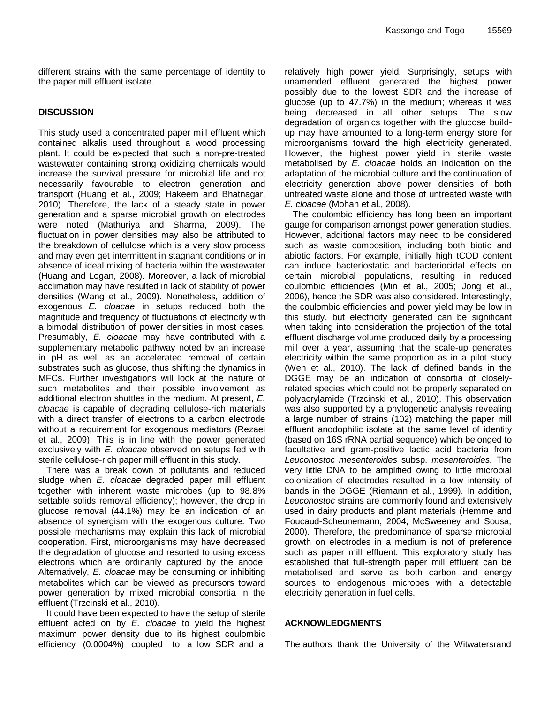different strains with the same percentage of identity to the paper mill effluent isolate.

## **DISCUSSION**

This study used a concentrated paper mill effluent which contained alkalis used throughout a wood processing plant. It could be expected that such a non-pre-treated wastewater containing strong oxidizing chemicals would increase the survival pressure for microbial life and not necessarily favourable to electron generation and transport (Huang et al., 2009; Hakeem and Bhatnagar, 2010). Therefore, the lack of a steady state in power generation and a sparse microbial growth on electrodes were noted (Mathuriya and Sharma, 2009). The fluctuation in power densities may also be attributed to the breakdown of cellulose which is a very slow process and may even get intermittent in stagnant conditions or in absence of ideal mixing of bacteria within the wastewater (Huang and Logan, 2008). Moreover, a lack of microbial acclimation may have resulted in lack of stability of power densities (Wang et al., 2009). Nonetheless, addition of exogenous *E. cloacae* in setups reduced both the magnitude and frequency of fluctuations of electricity with a bimodal distribution of power densities in most cases. Presumably, *E. cloacae* may have contributed with a supplementary metabolic pathway noted by an increase in pH as well as an accelerated removal of certain substrates such as glucose, thus shifting the dynamics in MFCs. Further investigations will look at the nature of such metabolites and their possible involvement as additional electron shuttles in the medium. At present, *E. cloacae* is capable of degrading cellulose-rich materials with a direct transfer of electrons to a carbon electrode without a requirement for exogenous mediators (Rezaei et al., 2009). This is in line with the power generated exclusively with *E. cloacae* observed on setups fed with sterile cellulose-rich paper mill effluent in this study.

There was a break down of pollutants and reduced sludge when *E. cloacae* degraded paper mill effluent together with inherent waste microbes (up to 98.8% settable solids removal efficiency); however, the drop in glucose removal (44.1%) may be an indication of an absence of synergism with the exogenous culture. Two possible mechanisms may explain this lack of microbial cooperation. First, microorganisms may have decreased the degradation of glucose and resorted to using excess electrons which are ordinarily captured by the anode. Alternatively, *E. cloacae* may be consuming or inhibiting metabolites which can be viewed as precursors toward power generation by mixed microbial consortia in the effluent (Trzcinski et al., 2010).

It could have been expected to have the setup of sterile effluent acted on by *E. cloacae* to yield the highest maximum power density due to its highest coulombic efficiency (0.0004%) coupled to a low SDR and a

relatively high power yield. Surprisingly, setups with unamended effluent generated the highest power possibly due to the lowest SDR and the increase of glucose (up to 47.7%) in the medium; whereas it was being decreased in all other setups. The slow degradation of organics together with the glucose buildup may have amounted to a long-term energy store for microorganisms toward the high electricity generated. However, the highest power yield in sterile waste metabolised by *E*. *cloacae* holds an indication on the adaptation of the microbial culture and the continuation of electricity generation above power densities of both untreated waste alone and those of untreated waste with *E. cloacae* (Mohan et al., 2008).

The coulombic efficiency has long been an important gauge for comparison amongst power generation studies. However, additional factors may need to be considered such as waste composition, including both biotic and abiotic factors. For example, initially high tCOD content can induce bacteriostatic and bacteriocidal effects on certain microbial populations, resulting in reduced coulombic efficiencies (Min et al., 2005; Jong et al., 2006), hence the SDR was also considered. Interestingly, the coulombic efficiencies and power yield may be low in this study, but electricity generated can be significant when taking into consideration the projection of the total effluent discharge volume produced daily by a processing mill over a year, assuming that the scale-up generates electricity within the same proportion as in a pilot study (Wen et al., 2010). The lack of defined bands in the DGGE may be an indication of consortia of closelyrelated species which could not be properly separated on polyacrylamide (Trzcinski et al., 2010). This observation was also supported by a phylogenetic analysis revealing a large number of strains (102) matching the paper mill effluent anodophilic isolate at the same level of identity (based on 16S rRNA partial sequence) which belonged to facultative and gram-positive lactic acid bacteria from *Leuconostoc mesenteroides* subsp. *mesenteroides.* The very little DNA to be amplified owing to little microbial colonization of electrodes resulted in a low intensity of bands in the DGGE (Riemann et al., 1999). In addition, *Leuconostoc* strains are commonly found and extensively used in dairy products and plant materials (Hemme and Foucaud-Scheunemann, 2004; McSweeney and Sousa, 2000). Therefore, the predominance of sparse microbial growth on electrodes in a medium is not of preference such as paper mill effluent. This exploratory study has established that full-strength paper mill effluent can be metabolised and serve as both carbon and energy sources to endogenous microbes with a detectable electricity generation in fuel cells.

## **ACKNOWLEDGMENTS**

The authors thank the University of the Witwatersrand